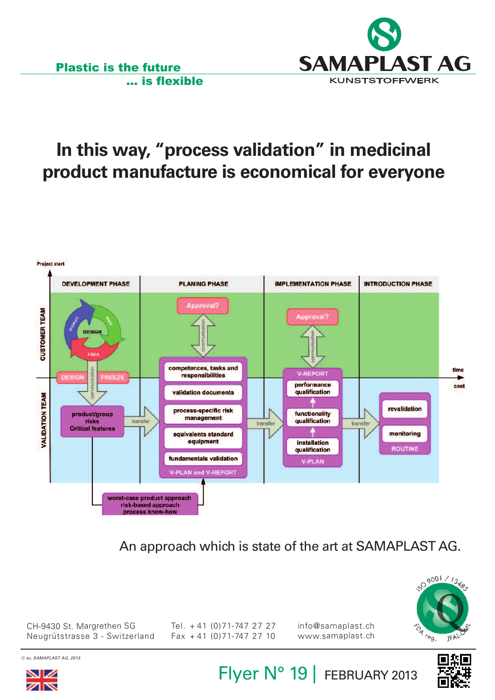

# **In this way, "process validation" in medicinal product manufacture is economical for everyone**

... is flexible

Plastic is the future



An approach which is state of the art at SAMAPLAST AG.



CH-9430 St. Margrethen SG Neugrütstrasse 3 - Switzerland Tel. <sup>+</sup> 41 (0)71-747 27 27 Fax <sup>+</sup> 41 (0)71-747 27 10

© *sc, SAMAPLAST AG, 2013*



Flyer N° 19 | FEBRUARY 2013

info@samaplast.ch www.samaplast.ch

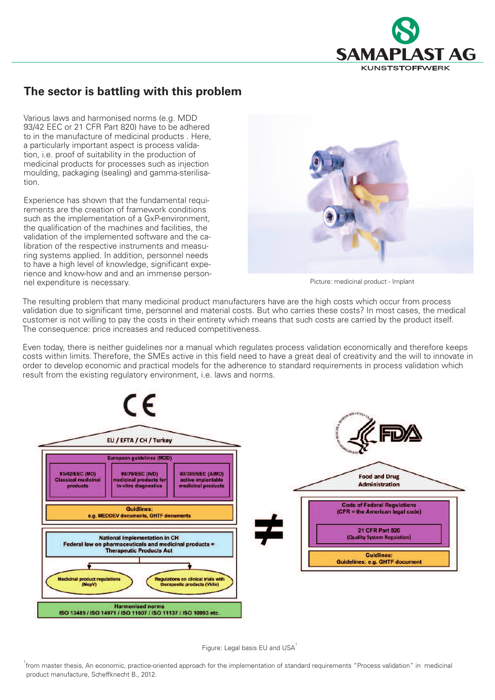

#### **The sector is battling with this problem**

Various laws and harmonised norms (e.g. MDD 93/42 EEC or 21 CFR Part 820) have to be adhered to in the manufacture of medicinal products . Here, a particularly important aspect is process validation, i.e. proof of suitability in the production of medicinal products for processes such as injection moulding, packaging (sealing) and gamma-sterilisation.

Experience has shown that the fundamental requirements are the creation of framework conditions such as the implementation of a GxP-environment, the qualification of the machines and facilities, the validation of the implemented software and the calibration of the respective instruments and measuring systems applied. In addition, personnel needs to have a high level of knowledge, significant experience and know-how and and an immense personnel expenditure is necessary.



Picture: medicinal product - Implant

The resulting problem that many medicinal product manufacturers have are the high costs which occur from process validation due to significant time, personnel and material costs. But who carries these costs? In most cases, the medical customer is not willing to pay the costs in their entirety which means that such costs are carried by the product itself. The consequence: price increases and reduced competitiveness.

Even today, there is neither guidelines nor a manual which regulates process validation economically and therefore keeps costs within limits. Therefore, the SMEs active in this field need to have a great deal of creativity and the will to innovate in order to develop economic and practical models for the adherence to standard requirements in process validation which result from the existing regulatory environment, i.e. laws and norms.



Figure: Legal basis EU and USA<sup>1</sup>

<sup>1</sup><br>from master thesis, An economic, practice-oriented approach for the implementation of standard requirements "Process validation" in medicinal product manufacture, Scheffknecht B., 2012.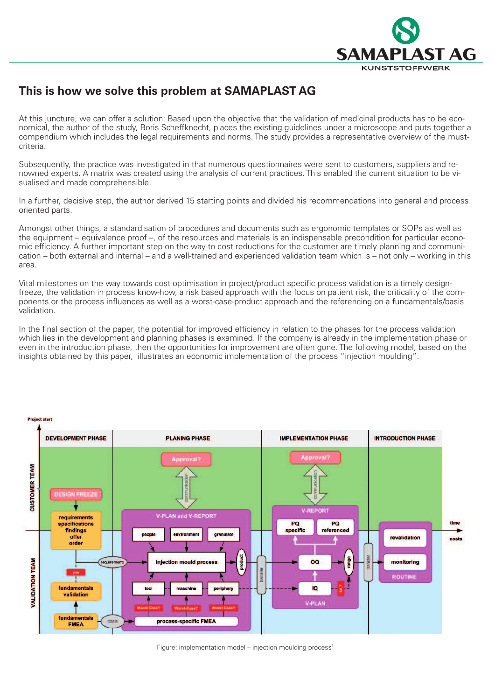

#### **This is how we solve this problem at SAMAPLAST AG**

At this juncture, we can offer a solution: Based upon the objective that the validation of medicinal products has to be economical, the author of the study, Boris Scheffknecht, places the existing guidelines under a microscope and puts together a compendium which includes the legal requirements and norms. The study provides a representative overview of the mustcriteria.

Subsequently, the practice was investigated in that numerous questionnaires were sent to customers, suppliers and renowned experts. A matrix was created using the analysis of current practices. This enabled the current situation to be visualised and made comprehensible.

In a further, decisive step, the author derived 15 starting points and divided his recommendations into general and process oriented parts.

Amongst other things, a standardisation of procedures and documents such as ergonomic templates or SOPs as well as the equipment – equivalence proof –, of the resources and materials is an indispensable precondition for particular economic efficiency. A further important step on the way to cost reductions for the customer are timely planning and communication – both external and internal – and a well-trained and experienced validation team which is – not only – working in this area.

Vital milestones on the way towards cost optimisation in project/product specific process validation is a timely designfreeze, the validation in process know-how, a risk based approach with the focus on patient risk, the criticality of the components or the process influences as well as a worst-case-product approach and the referencing on a fundamentals/basis validation.

In the final section of the paper, the potential for improved efficiency in relation to the phases for the process validation which lies in the development and planning phases is examined. If the company is already in the implementation phase or even in the introduction phase, then the opportunities for improvement are often gone. The following model, based on the insights obtained by this paper, illustrates an economic implementation of the process "injection moulding".



Figure: implementation model – injection moulding process<sup>1</sup>